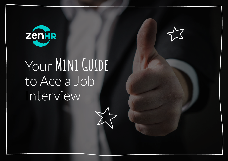

# Your **Mini Guide** to Ace a Job Interview

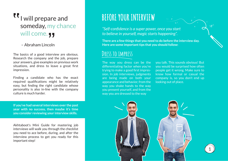# **IT** I will prepare and someday, my chance will come.

#### – Abraham Lincoln

The basics of a good interview are obvious. Research the company and the job, prepare your answers, give examples on previous work situations, and dress to leave a great first impression.

Finding a candidate who has the exact required qualifications might be relatively easy, but finding the right candidate whose personality is also in-line with the company culture is much harder.

**If you've had several interviews over the past year with no success, then maybe it's time you consider reviewing your interview skills.**

Akhtaboot's Mini Guide for mastering job interviews will walk you through the checklist you need to ace before, during, and after the interview process to get you ready for this important step!

# **BEFORE YOUR INTERVIEW**

*"Self-confidence is a super power, once you start to believe in yourself, magic starts happening".*

**There are a few things that you need to do before the interview day. Here are some important tips that you should follow:**

#### **Dress to impress**

The way you dress can be the differentiating factor when you're trying to make a good first impression. In job interviews, judgments are being made on both your appearance and behavior, from the way you shake hands to the way you present yourself, and from the way you are dressed to the way

you talk. This sounds obvious! But you would be surprised how often people get it wrong. Make sure to know how formal or casual the company is, so you don't end up looking out of place.



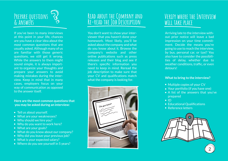

If you've been to many interviews at this point in your life, chances are you have a clear idea about the most common questions that are usually asked. Although many of us are familiar with those generic questions, we still get it wrong. While the answers to them might sound simple, it is always important to organize your thoughts and prepare your answers to avoid making mistakes during the interview. Keep in mind that in many cases, employers focus on your way of communication as opposed to the answer itself.

**Here are the most common questions that you may be asked during an interview:**

- Tell us about yourself.
- What are your weaknesses?
- Why should we hire you?
- Why do you want to work here?
- What are your goals?
- What do you know about our company?
- Why did you leave your previous job?
- What is your expected salary?
- Where do you see yourself in 5 years?

#### **Read about the Company and Re-read the Job Description**

You don't want to show your interviewer that you haven't done your homework. Most likely, you'll be asked about the company and what do you know about it. Browse the company's website and other online publications such as press releases and their blog and see if there's specific information you need to keep in mind. Reread the job description to make sure that your CV and qualifications match what the company is looking for.



#### **Verify where the Interview will take place**

Arriving late to the interview without prior notice will leave a bad impression on your time commitment. Decide the means you're going to use to reach the interview, by bus, personal car, or taxi? You also have to consider the possibilities of delay, whether due to weather conditions, traffic, or even detours!

#### **What to bring to the interview?**

- Multiple copies of your CV
- Your portfolio (if you have one)
- A list of the answers that you've prepared
- $\bullet$  ID
- Educational Qualifications
- Reference letters



2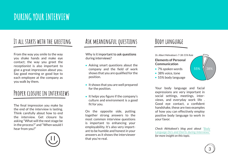# **It all starts with the greeting**

From the way you smile to the way you shake hands and make eye contact; the way you greet the receptionist is also important to give a great impression about you. Say good morning or good bye to each employee at the company as you walk by them.

### **Proper closure in interviews**

The final impression you make by the end of the interview is lasting. Think carefully about how to end the interview. Get closure by asking "What will the next stage be in the process?" and "When would I hear from you?"



## **Ask meaningful questions**

Why is it important to ask questions during interviews?

- Asking smart questions about the company and the field of work shows that you are qualified for the position.
- $\bullet$  It shows that you are well prepared for the position.
- $\bullet$  It helps you figure if the company's culture and environment is a good fit for you.

On the opposite side, putting together strong answers to the most common interview questions is important to enhancing your employability. It's also very important to be humble and honest in your answers as it shows the interviewer that you're real.

### **Body language**

7% *Dr. Albert Mehrabian's 7-38-55% Rule* **Elements of Personal Communication**

- 7% spoken words
- 38% voice, tone
- 55% body language



Your body language and facial expressions are very important in social settings, meetings, interviews, and everyday work life . Good eye contact, a confident handshake, these are two examples of how you can effectively employ positive body language to work in your favor.

*Check Akhtaboot's blog post about "Body Language Do's and Don'ts during Interviews" for more insight on this topic.*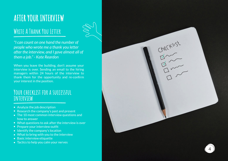# **AFTER YOUR INTERVIEW**

### **Write A Thank You Letter**

*"I can count on one hand the number of people who wrote me a thank you letter after the interview, and I gave almost all of them a job." - Kate Reardon*

When you leave the building, don't assume your interview is over. Sending an email to the hiring managers within 24 hours of the interview to thank them for the opportunity and re-confirm your interest in the position.

#### **Your checklist for a successful interview**

- Analyze the job description
- Research the company's past and present
- The 10 most common interview questions and how to answer
- What questions to ask after the interview is over
- Prepare your interview outfit
- Identify the company's location
- What to bring with you to the interview
- Basic interview etiquette
- Tactics to help you calm your nerves



Checkist

 $\frac{1}{2}$